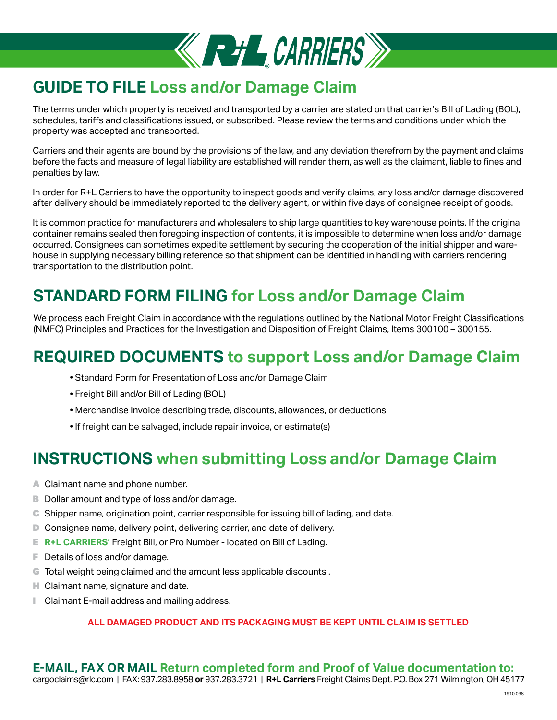

# **GUIDE TO FILE Loss and/or Damage Claim**

The terms under which property is received and transported by a carrier are stated on that carrier's Bill of Lading (BOL), schedules, tariffs and classifications issued, or subscribed. Please review the terms and conditions under which the property was accepted and transported.

Carriers and their agents are bound by the provisions of the law, and any deviation therefrom by the payment and claims before the facts and measure of legal liability are established will render them, as well as the claimant, liable to fines and penalties by law.

In order for R+L Carriers to have the opportunity to inspect goods and verify claims, any loss and/or damage discovered after delivery should be immediately reported to the delivery agent, or within five days of consignee receipt of goods.

It is common practice for manufacturers and wholesalers to ship large quantities to key warehouse points. If the original container remains sealed then foregoing inspection of contents, it is impossible to determine when loss and/or damage occurred. Consignees can sometimes expedite settlement by securing the cooperation of the initial shipper and warehouse in supplying necessary billing reference so that shipment can be identified in handling with carriers rendering transportation to the distribution point.

# **STANDARD FORM FILING for Loss and/or Damage Claim**

We process each Freight Claim in accordance with the regulations outlined by the National Motor Freight Classifications (NMFC) Principles and Practices for the Investigation and Disposition of Freight Claims, Items 300100 – 300155.

# **REQUIRED DOCUMENTS to support Loss and/or Damage Claim**

- Standard Form for Presentation of Loss and/or Damage Claim
- Freight Bill and/or Bill of Lading (BOL)
- Merchandise Invoice describing trade, discounts, allowances, or deductions
- If freight can be salvaged, include repair invoice, or estimate(s)

## **INSTRUCTIONS when submitting Loss and/or Damage Claim**

- A Claimant name and phone number.
- B Dollar amount and type of loss and/or damage.
- C Shipper name, origination point, carrier responsible for issuing bill of lading, and date.
- D Consignee name, delivery point, delivering carrier, and date of delivery.
- E **R+L CARRIERS'** Freight Bill, or Pro Number located on Bill of Lading.
- F Details of loss and/or damage.
- G Total weight being claimed and the amount less applicable discounts.
- **H** Claimant name, signature and date.
- **I** Claimant E-mail address and mailing address.

#### **ALL DAMAGED PRODUCT AND ITS PACKAGING MUST BE KEPT UNTIL CLAIM IS SETTLED**